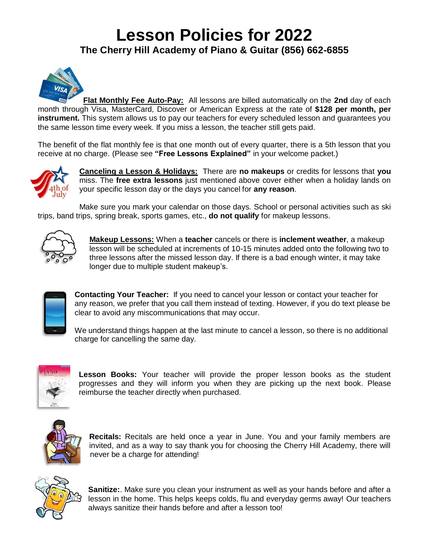## **Lesson Policies for 2022 The Cherry Hill Academy of Piano & Guitar (856) 662-6855**



**Flat Monthly Fee Auto-Pay:** All lessons are billed automatically on the **2nd** day of each month through Visa, MasterCard, Discover or American Express at the rate of **\$128 per month, per instrument.** This system allows us to pay our teachers for every scheduled lesson and guarantees you the same lesson time every week. If you miss a lesson, the teacher still gets paid.

The benefit of the flat monthly fee is that one month out of every quarter, there is a 5th lesson that you receive at no charge. (Please see **"Free Lessons Explained"** in your welcome packet.)



**Canceling a Lesson & Holidays:** There are **no makeups** or credits for lessons that **you** miss. The **free extra lessons** just mentioned above cover either when a holiday lands on your specific lesson day or the days you cancel for **any reason**.

Make sure you mark your calendar on those days. School or personal activities such as ski trips, band trips, spring break, sports games, etc., **do not qualify** for makeup lessons.



**Makeup Lessons:** When a **teacher** cancels or there is **inclement weather**, a makeup lesson will be scheduled at increments of 10-15 minutes added onto the following two to three lessons after the missed lesson day. If there is a bad enough winter, it may take longer due to multiple student makeup's.



**Contacting Your Teacher:** If you need to cancel your lesson or contact your teacher for any reason, we prefer that you call them instead of texting. However, if you do text please be clear to avoid any miscommunications that may occur.

We understand things happen at the last minute to cancel a lesson, so there is no additional charge for cancelling the same day.



**Lesson Books:** Your teacher will provide the proper lesson books as the student progresses and they will inform you when they are picking up the next book. Please reimburse the teacher directly when purchased.



**Recitals:** Recitals are held once a year in June. You and your family members are invited, and as a way to say thank you for choosing the Cherry Hill Academy, there will never be a charge for attending!



**Sanitize:**. Make sure you clean your instrument as well as your hands before and after a lesson in the home. This helps keeps colds, flu and everyday germs away! Our teachers always sanitize their hands before and after a lesson too!